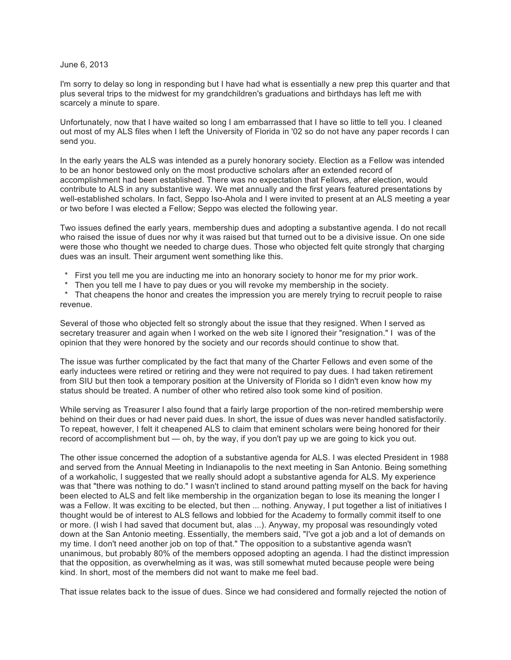June 6, 2013

I'm sorry to delay so long in responding but I have had what is essentially a new prep this quarter and that plus several trips to the midwest for my grandchildren's graduations and birthdays has left me with scarcely a minute to spare.

Unfortunately, now that I have waited so long I am embarrassed that I have so little to tell you. I cleaned out most of my ALS files when I left the University of Florida in '02 so do not have any paper records I can send you.

In the early years the ALS was intended as a purely honorary society. Election as a Fellow was intended to be an honor bestowed only on the most productive scholars after an extended record of accomplishment had been established. There was no expectation that Fellows, after election, would contribute to ALS in any substantive way. We met annually and the first years featured presentations by well-established scholars. In fact, Seppo Iso-Ahola and I were invited to present at an ALS meeting a year or two before I was elected a Fellow; Seppo was elected the following year.

Two issues defined the early years, membership dues and adopting a substantive agenda. I do not recall who raised the issue of dues nor why it was raised but that turned out to be a divisive issue. On one side were those who thought we needed to charge dues. Those who objected felt quite strongly that charging dues was an insult. Their argument went something like this.

- First you tell me you are inducting me into an honorary society to honor me for my prior work.
- Then you tell me I have to pay dues or you will revoke my membership in the society.

That cheapens the honor and creates the impression you are merely trying to recruit people to raise revenue.

Several of those who objected felt so strongly about the issue that they resigned. When I served as secretary treasurer and again when I worked on the web site I ignored their "resignation." I was of the opinion that they were honored by the society and our records should continue to show that.

The issue was further complicated by the fact that many of the Charter Fellows and even some of the early inductees were retired or retiring and they were not required to pay dues. I had taken retirement from SIU but then took a temporary position at the University of Florida so I didn't even know how my status should be treated. A number of other who retired also took some kind of position.

While serving as Treasurer I also found that a fairly large proportion of the non-retired membership were behind on their dues or had never paid dues. In short, the issue of dues was never handled satisfactorily. To repeat, however, I felt it cheapened ALS to claim that eminent scholars were being honored for their record of accomplishment but — oh, by the way, if you don't pay up we are going to kick you out.

The other issue concerned the adoption of a substantive agenda for ALS. I was elected President in 1988 and served from the Annual Meeting in Indianapolis to the next meeting in San Antonio. Being something of a workaholic, I suggested that we really should adopt a substantive agenda for ALS. My experience was that "there was nothing to do." I wasn't inclined to stand around patting myself on the back for having been elected to ALS and felt like membership in the organization began to lose its meaning the longer I was a Fellow. It was exciting to be elected, but then ... nothing. Anyway, I put together a list of initiatives I thought would be of interest to ALS fellows and lobbied for the Academy to formally commit itself to one or more. (I wish I had saved that document but, alas ...). Anyway, my proposal was resoundingly voted down at the San Antonio meeting. Essentially, the members said, "I've got a job and a lot of demands on my time. I don't need another job on top of that." The opposition to a substantive agenda wasn't unanimous, but probably 80% of the members opposed adopting an agenda. I had the distinct impression that the opposition, as overwhelming as it was, was still somewhat muted because people were being kind. In short, most of the members did not want to make me feel bad.

That issue relates back to the issue of dues. Since we had considered and formally rejected the notion of